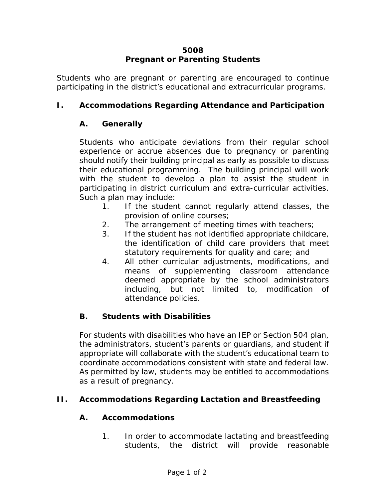## **5008 Pregnant or Parenting Students**

Students who are pregnant or parenting are encouraged to continue participating in the district's educational and extracurricular programs.

# **I. Accommodations Regarding Attendance and Participation**

## **A. Generally**

Students who anticipate deviations from their regular school experience or accrue absences due to pregnancy or parenting should notify their building principal as early as possible to discuss their educational programming. The building principal will work with the student to develop a plan to assist the student in participating in district curriculum and extra-curricular activities. Such a plan may include:

- 1. If the student cannot regularly attend classes, the provision of online courses;
- 2. The arrangement of meeting times with teachers;
- 3. If the student has not identified appropriate childcare, the identification of child care providers that meet statutory requirements for quality and care; and
- 4. All other curricular adjustments, modifications, and means of supplementing classroom attendance deemed appropriate by the school administrators including, but not limited to, modification of attendance policies.

# **B. Students with Disabilities**

For students with disabilities who have an IEP or Section 504 plan, the administrators, student's parents or guardians, and student if appropriate will collaborate with the student's educational team to coordinate accommodations consistent with state and federal law. As permitted by law, students may be entitled to accommodations as a result of pregnancy.

# **II. Accommodations Regarding Lactation and Breastfeeding**

# **A. Accommodations**

1. In order to accommodate lactating and breastfeeding students, the district will provide reasonable